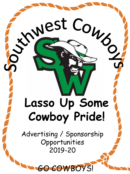# **Lasso Up Some Cowboy Pride!**

West Com

Advertising / Sponsorship Opportunities 2019-20

GOWBOYS!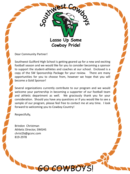

Dear Community Partner!

Southwest Guilford High School is getting geared up for a new and exciting football season and we would like for you to consider becoming a sponsor to support the student-athletes and coaches at our school. Enclosed is a copy of the SW Sponsorship Package for your review. There are many opportunities for you to choose from, however we hope that you will become a Gold Sponsor!

Several organizations currently contribute to our program and we would welcome your partnership in becoming a supporter of our football team and athletic department as well. We graciously thank you for your consideration. Should you have any questions or if you would like to see a sample of our program, please feel free to contact me at any time. I look forward to welcoming you to Cowboy Country!

GO COWBOYS!

Respectfully,

Brindon Christman Athletic Director, SWGHS christ2b@gcsnc.com 819-2978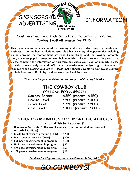## SPONSORSPILE / W INFORMATION

**Southwest Guilford High School is anticipating an exciting Cowboy Football season for 2019.** 

**Lasso Up Some Cowboy Pride!**

SPONSORSHIP/

**This is your chance to help support the Cowboys and receive advertising to promote your business. The Cowboys Athletic Booster Club has a variety of opportunities including banners around the football field, scoreboard advertising, and The Cowboy Corporate Club, our most popular program listed below which is always a sellout! To participate, please complete the information on this form and check your level of support. Please provide camera-ready artwork of/or your advertisement and/or sign. Payment is required when placing your order. Please make checks payable to Southwest Guilford Athletic Boosters or if sold by band boosters, SW Band Boosters.**

**Thank you for your consideration and support of Cowboy Athletics.**

#### **THE COWBOY CLUB OPTIONS FOR SUPPORT:**

**Cowboy Banner \$250 (renewal \$150) Bronze Level \$500 (renewal \$400)**

**Silver Level \$750 (renewal \$500)**

**Gold Level \$1000 (renewal \$800)** 

**OTHER OPPORTUNITIES TO SUPPORT THE ATHLETES (Fall Athletic Program):**

- **Renewal of Sign only \$150 (current sponsors - for football stadium, baseball or softball facilities).**
- **Inside front cover of program (B&W) \$200**
- **Back cover of program (Color) \$200**
- **Full page advertisement in program \$150**
- **Half page advertisement in program \$90**
- **1/4 page advertisement in program \$50**
- **1/8 page advertisement in program \$25**

*Deadline for 1st game program advertisement is Aug. 16th.*

GO COWBOYS!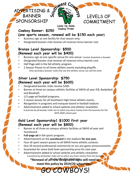

#### **Cowboy Pride! Cowboy Banner: \$250 (one sports season, renewal will be \$150 each year)**

BANNER

SPONSORSHIP

- Business sign at one facility for that season only.
- Designated booster club receives all revenue minus banner cost.

#### **Bronze Level Sponsorship: \$500 (Renewal each year will be \$400)**

• Business sign at one specific venue for one venue -Football, Basketball or Baseball

**Lasso Up Some** 

- Designated booster club receives all revenue minus banner cost.
- Half Page add in the fall athletic program.
- 2 Season Passes to all home athletic events excluding playoffs . Only secondary booster clubs that use the athletic venue can sell this level.

#### **Silver Level Sponsorship: \$750 (Renewal each year will be \$600)**

- Designated booster clubs receive \$200.
- Banner at three on campus athletic facilities at SWHS all year (FB, Basketball and Baseball)
- 1/2 page ad football programs.
- 2 season passes for all Southwest High home athletic events.
- Recognition in programs and marquee board in football stadium.
- Advertisement added to school website and athletic newsletter. A promise by all booster clubs not to solicit any more money from the business for the 2019-2020 school year.

#### **Gold Level Sponsorship1 \$1000 first year (Renewal each year will be \$800)**

- Banner at all three on campus athletic facilities at SWHS all year and **Scoreboard**
- **Full-page ad** in fall sports program.
- Advertisement on the **scoreboard** in the stadium **for one year.**
- Four all sport season passes to all SWHS home athletic contests.
- One 20 second professional commercial on our pre-game announcements.
- Guarantee for same Gold level sponsorship price for next year.
- Advertisement added to school website and athletic newsletter. A promise by all booster clubs not to solicit any more money from the busines

### for the 2011-2012 school year. **\*Renewal of all new designated signs will need to**

COWBOYS!

**meet this policy by 2019/20 school year.**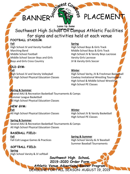# BANNER<sup>S ST</sup>ERS & PLACEMENT

**Lasso Up Some**  Southwest High Scho<sup>coub</sup> On Campus Athletic Facilities for signs and activities held at each venue **FOOTBALL STADIUM**:

High School JV and Varsity Football High School Boys & Girls Track Marching Band Middle School Boys & Girls Track Middle School Soccer Boys and Girls Varsity Girls Lacrosse Boys and Girls Cross Country **Connect Country** JV & Varsity Girls Soccer

## **OLD GYM:**

**Fall Winter**

#### **Fall Spring**

Middle School Football **High School JV & Varsity Boys Lacrosse** 

High School JV and Varsity Volleyball High School Varity, JV & Freshman Basketball All High School Physical Education Classes Cowboy Invitational Wrestling Tournament High School & Middle School Wrestling High School PE Classes

#### **Spring & Summer**

Several AAU & Recreation Basketball Tournaments & Camps Summer League Basketball All High School Physical Education Classes

#### **NEW GYM:**

**Fall Winter** All High School Physical Education Classes High School JV & Varsity Basketball

#### **Spring & Summer**

Several AAU & Recreation Basketball Tournaments & Camps All High School Physical Education Classes

**BASEBALL FIELD: Fall Spring & Summer**

**SOFTBALL FIELD**: **Spring** High School Varsity & JV softball

High School PE Classes

Fall Colt League Games & Practices High School Varsity & JV Baseball Summer Baseball Tournaments

> **Southwest High SchooL 2019-2020 Order Form Athletic Venue Advertising Banner Program** DEADLINE FOR FALL SEASON: AUGUST 19, 2019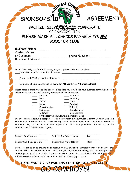# SPONSORSHIP MY AGREEMENT

#### **BRONZE, SILVER OF SOME CORPORATE SPONSORSHIPS** PLEASE MAKE ALL CHECKS PAYABLE TO: **SW BOOSTER CLUB Cowboy Pride!**

| <b>Business Name:</b>    |               |
|--------------------------|---------------|
| Contact Person           |               |
| at Business:             | phone Number: |
| <b>Business Address:</b> |               |

I would like to sign up for the following program, please circle and complete: Bronze Level: \$500 / Location of Banner:

Silver Level: \$750 / Location of Banners:

\_\_\_\_Gold Level: \$1000 Banner will be located at **ALL Southwest Athletic Facilities!**

Please place a check next to the booster clubs that you would like your business contribution to be allocated to, you can check as many as you would like or just one:

\_\_\_\_\_\_\_\_\_\_\_\_\_\_\_\_\_\_\_\_\_\_\_\_\_\_\_\_\_\_\_\_\_\_\_\_\_\_\_\_\_\_\_\_\_\_\_\_\_\_\_\_\_\_\_\_\_\_\_\_\_\_\_\_\_\_

| Football             | Basketball           |
|----------------------|----------------------|
| Band                 | Wrestling            |
| Soccer               | Track                |
| Dance                | Baseball             |
| <b>Cross Country</b> | Softball             |
| Swimming             | <b>Boys Lacrosse</b> |
| Girls Golf           | Girls Lacrosse       |

SW Booster Club (SWHS facility improvement)

By my signature below, I accept all terms as set forth by Southwest Guilford Booster Club, the Southwest High School, and the Southwest High School Athletic Department. The athletic director at Southwest High School reserves final approval on all banner placement and will act as the administrator for the banner program.

| <b>Business Rep Signature</b> | <b>Business Rep Printed Name</b> | Date |
|-------------------------------|----------------------------------|------|
| Booster Club Rep Signature    | Booster Rep Printed Name         | Date |

Businesses are asked to provide a high resolution JPEG or Adobe Illustrator format file on a CD of the ad they wish to place on the banner. Please note, to stay within the pricing structure, multiple colors and designs may not be available. If you have any questions, please contact Southwest High School Athletic Director Brindon Christman at 819-2970 or christb2@gcsnc.com

**D COWBOYS!** 

**THANK YOU FOR SUPPORTING SOUTHWEST HIGH SCHOOL.**